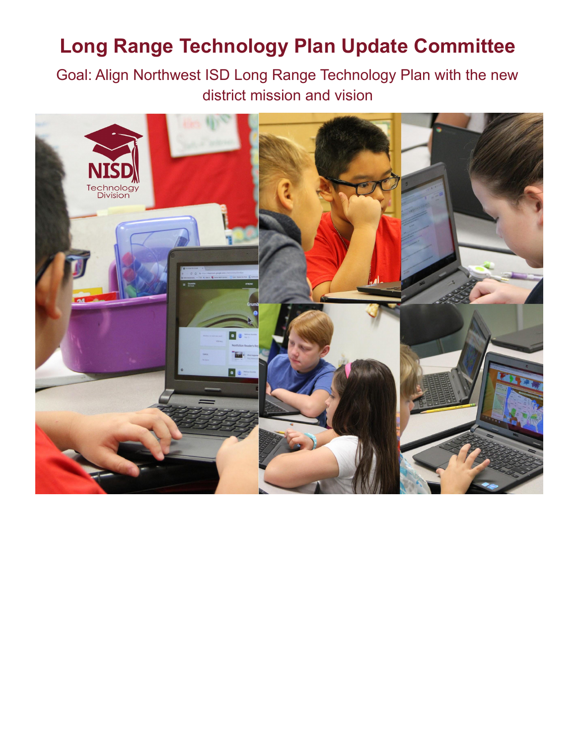# **Long Range Technology Plan Update Committee**

Goal: Align Northwest ISD Long Range Technology Plan with the new district mission and vision

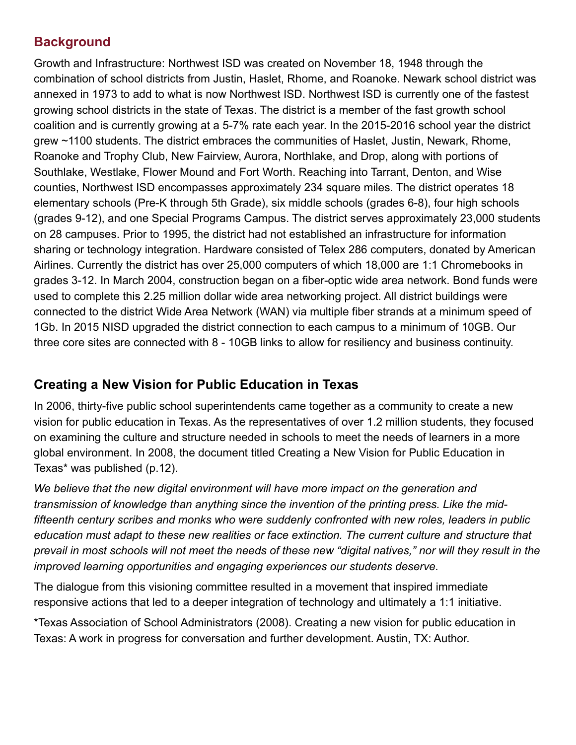# **Background**

Growth and Infrastructure: Northwest ISD was created on November 18, 1948 through the combination of school districts from Justin, Haslet, Rhome, and Roanoke. Newark school district was annexed in 1973 to add to what is now Northwest ISD. Northwest ISD is currently one of the fastest growing school districts in the state of Texas. The district is a member of the fast growth school coalition and is currently growing at a 5-7% rate each year. In the 2015-2016 school year the district grew ~1100 students. The district embraces the communities of Haslet, Justin, Newark, Rhome, Roanoke and Trophy Club, New Fairview, Aurora, Northlake, and Drop, along with portions of Southlake, Westlake, Flower Mound and Fort Worth. Reaching into Tarrant, Denton, and Wise counties, Northwest ISD encompasses approximately 234 square miles. The district operates 18 elementary schools (Pre-K through 5th Grade), six middle schools (grades 6-8), four high schools (grades 9-12), and one Special Programs Campus. The district serves approximately 23,000 students on 28 campuses. Prior to 1995, the district had not established an infrastructure for information sharing or technology integration. Hardware consisted of Telex 286 computers, donated by American Airlines. Currently the district has over 25,000 computers of which 18,000 are 1:1 Chromebooks in grades 3-12. In March 2004, construction began on a fiber-optic wide area network. Bond funds were used to complete this 2.25 million dollar wide area networking project. All district buildings were connected to the district Wide Area Network (WAN) via multiple fiber strands at a minimum speed of 1Gb. In 2015 NISD upgraded the district connection to each campus to a minimum of 10GB. Our three core sites are connected with 8 - 10GB links to allow for resiliency and business continuity.

# **Creating a New Vision for Public Education in Texas**

In 2006, thirty-five public school superintendents came together as a community to create a new vision for public education in Texas. As the representatives of over 1.2 million students, they focused on examining the culture and structure needed in schools to meet the needs of learners in a more global environment. In 2008, the document titled Creating a New Vision for Public Education in Texas\* was published (p.12).

*We believe that the new digital environment will have more impact on the generation and transmission of knowledge than anything since the invention of the printing press. Like the midfifteenth century scribes and monks who were suddenly confronted with new roles, leaders in public education must adapt to these new realities or face extinction. The current culture and structure that prevail in most schools will not meet the needs of these new "digital natives," nor will they result in the improved learning opportunities and engaging experiences our students deserve.*

The dialogue from this visioning committee resulted in a movement that inspired immediate responsive actions that led to a deeper integration of technology and ultimately a 1:1 initiative.

\*Texas Association of School Administrators (2008). Creating a new vision for public education in Texas: A work in progress for conversation and further development. Austin, TX: Author.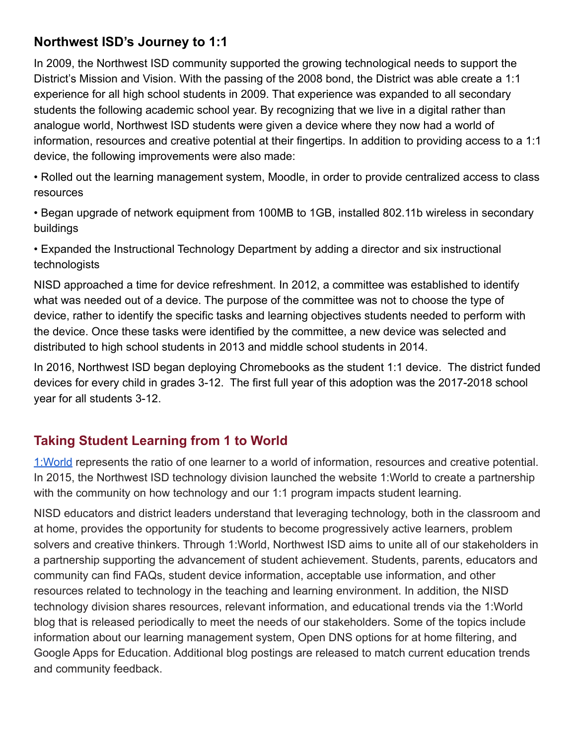# **Northwest ISD's Journey to 1:1**

In 2009, the Northwest ISD community supported the growing technological needs to support the District's Mission and Vision. With the passing of the 2008 bond, the District was able create a 1:1 experience for all high school students in 2009. That experience was expanded to all secondary students the following academic school year. By recognizing that we live in a digital rather than analogue world, Northwest ISD students were given a device where they now had a world of information, resources and creative potential at their fingertips. In addition to providing access to a 1:1 device, the following improvements were also made:

• Rolled out the learning management system, Moodle, in order to provide centralized access to class resources

• Began upgrade of network equipment from 100MB to 1GB, installed 802.11b wireless in secondary buildings

• Expanded the Instructional Technology Department by adding a director and six instructional technologists

NISD approached a time for device refreshment. In 2012, a committee was established to identify what was needed out of a device. The purpose of the committee was not to choose the type of device, rather to identify the specific tasks and learning objectives students needed to perform with the device. Once these tasks were identified by the committee, a new device was selected and distributed to high school students in 2013 and middle school students in 2014.

In 2016, Northwest ISD began deploying Chromebooks as the student 1:1 device. The district funded devices for every child in grades 3-12. The first full year of this adoption was the 2017-2018 school year for all students 3-12.

# **Taking Student Learning from 1 to World**

[1:World](http://1toworld.nisdtx.org/) represents the ratio of one learner to a world of information, resources and creative potential. In 2015, the Northwest ISD technology division launched the website 1:World to create a partnership with the community on how technology and our 1:1 program impacts student learning.

NISD educators and district leaders understand that leveraging technology, both in the classroom and at home, provides the opportunity for students to become progressively active learners, problem solvers and creative thinkers. Through 1:World, Northwest ISD aims to unite all of our stakeholders in a partnership supporting the advancement of student achievement. Students, parents, educators and community can find FAQs, student device information, acceptable use information, and other resources related to technology in the teaching and learning environment. In addition, the NISD technology division shares resources, relevant information, and educational trends via the 1:World blog that is released periodically to meet the needs of our stakeholders. Some of the topics include information about our learning management system, Open DNS options for at home filtering, and Google Apps for Education. Additional blog postings are released to match current education trends and community feedback.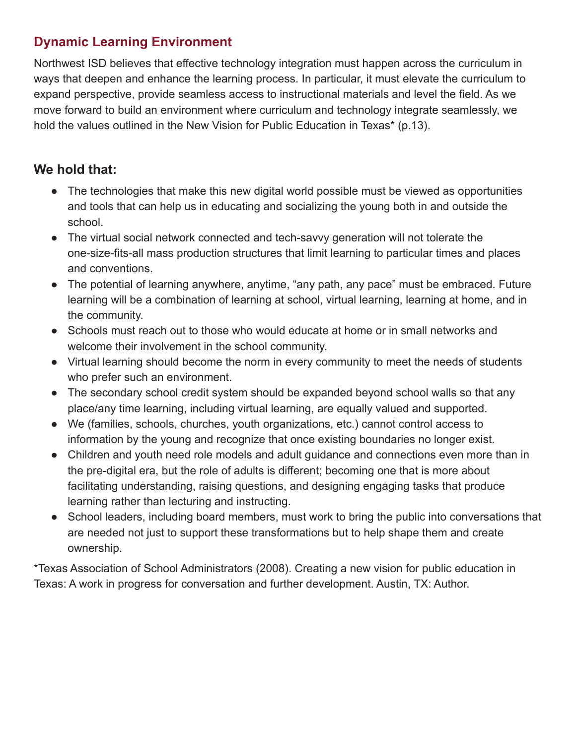# **Dynamic Learning Environment**

Northwest ISD believes that effective technology integration must happen across the curriculum in ways that deepen and enhance the learning process. In particular, it must elevate the curriculum to expand perspective, provide seamless access to instructional materials and level the field. As we move forward to build an environment where curriculum and technology integrate seamlessly, we hold the values outlined in the New Vision for Public Education in Texas<sup>\*</sup> (p.13).

# **We hold that:**

- The technologies that make this new digital world possible must be viewed as opportunities and tools that can help us in educating and socializing the young both in and outside the school.
- The virtual social network connected and tech-savvy generation will not tolerate the one-size-fits-all mass production structures that limit learning to particular times and places and conventions.
- The potential of learning anywhere, anytime, "any path, any pace" must be embraced. Future learning will be a combination of learning at school, virtual learning, learning at home, and in the community.
- Schools must reach out to those who would educate at home or in small networks and welcome their involvement in the school community.
- Virtual learning should become the norm in every community to meet the needs of students who prefer such an environment.
- The secondary school credit system should be expanded beyond school walls so that any place/any time learning, including virtual learning, are equally valued and supported.
- We (families, schools, churches, youth organizations, etc.) cannot control access to information by the young and recognize that once existing boundaries no longer exist.
- Children and youth need role models and adult guidance and connections even more than in the pre-digital era, but the role of adults is different; becoming one that is more about facilitating understanding, raising questions, and designing engaging tasks that produce learning rather than lecturing and instructing.
- School leaders, including board members, must work to bring the public into conversations that are needed not just to support these transformations but to help shape them and create ownership.

\*Texas Association of School Administrators (2008). Creating a new vision for public education in Texas: A work in progress for conversation and further development. Austin, TX: Author.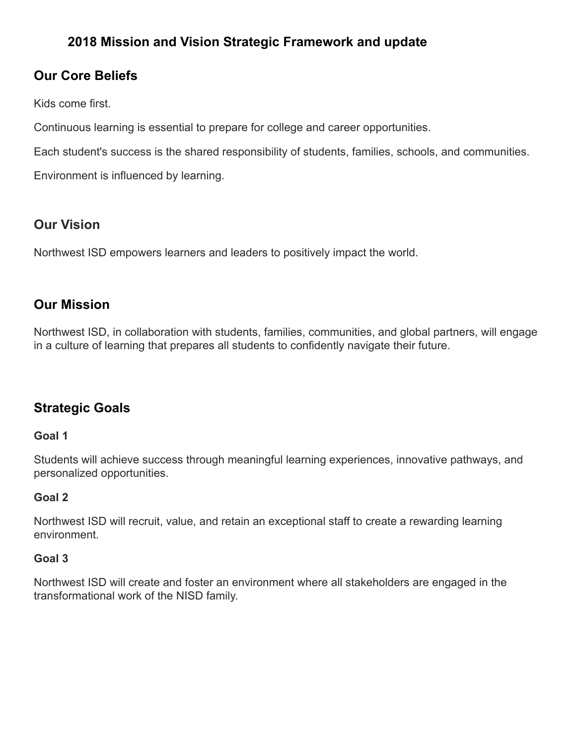# **2018 Mission and Vision Strategic Framework and update**

# **Our Core Beliefs**

Kids come first.

Continuous learning is essential to prepare for college and career opportunities.

Each student's success is the shared responsibility of students, families, schools, and communities.

Environment is influenced by learning.

### **Our Vision**

Northwest ISD empowers learners and leaders to positively impact the world.

## **Our Mission**

Northwest ISD, in collaboration with students, families, communities, and global partners, will engage in a culture of learning that prepares all students to confidently navigate their future.

# **Strategic Goals**

#### **Goal 1**

Students will achieve success through meaningful learning experiences, innovative pathways, and personalized opportunities.

#### **Goal 2**

Northwest ISD will recruit, value, and retain an exceptional staff to create a rewarding learning environment.

#### **Goal 3**

Northwest ISD will create and foster an environment where all stakeholders are engaged in the transformational work of the NISD family.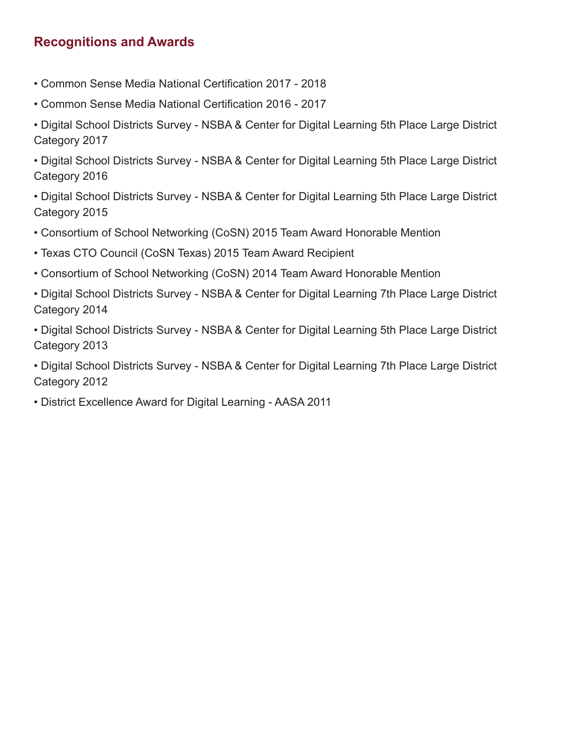# **Recognitions and Awards**

- Common Sense Media National Certification 2017 2018
- Common Sense Media National Certification 2016 2017
- Digital School Districts Survey NSBA & Center for Digital Learning 5th Place Large District Category 2017
- Digital School Districts Survey NSBA & Center for Digital Learning 5th Place Large District Category 2016
- Digital School Districts Survey NSBA & Center for Digital Learning 5th Place Large District Category 2015
- Consortium of School Networking (CoSN) 2015 Team Award Honorable Mention
- Texas CTO Council (CoSN Texas) 2015 Team Award Recipient
- Consortium of School Networking (CoSN) 2014 Team Award Honorable Mention
- Digital School Districts Survey NSBA & Center for Digital Learning 7th Place Large District Category 2014
- Digital School Districts Survey NSBA & Center for Digital Learning 5th Place Large District Category 2013
- Digital School Districts Survey NSBA & Center for Digital Learning 7th Place Large District Category 2012
- District Excellence Award for Digital Learning AASA 2011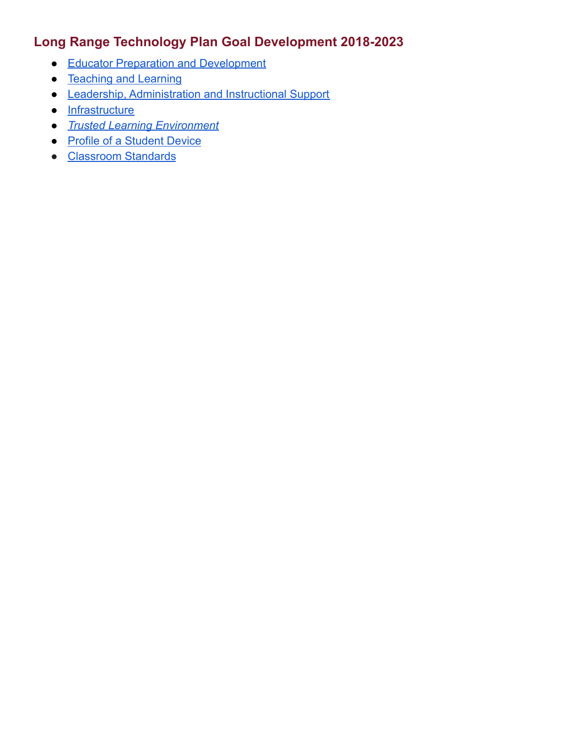# **Long Range Technology Plan Goal Development 2018-2023**

- [Educator Preparation and Development](#page-7-0)
- [Teaching and Learning](#page-9-0)
- [Leadership, Administration and Instructional Support](#page-11-0)
- [Infrastructure](#page-13-0)
- *● [Trusted Learning Environment](#page-15-0)*
- [Profile of a Student Device](#page-16-0)
- [Classroom Standards](#page-17-0)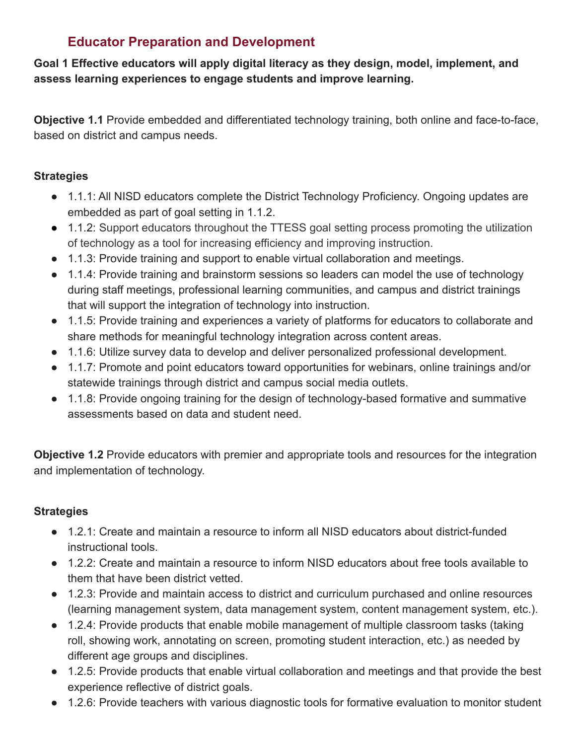# **Educator Preparation and Development**

<span id="page-7-0"></span>**Goal 1 Effective educators will apply digital literacy as they design, model, implement, and assess learning experiences to engage students and improve learning.**

**Objective 1.1** Provide embedded and differentiated technology training, both online and face-to-face, based on district and campus needs.

#### **Strategies**

- 1.1.1: All NISD educators complete the District Technology Proficiency. Ongoing updates are embedded as part of goal setting in 1.1.2.
- 1.1.2: Support educators throughout the TTESS goal setting process promoting the utilization of technology as a tool for increasing efficiency and improving instruction.
- 1.1.3: Provide training and support to enable virtual collaboration and meetings.
- 1.1.4: Provide training and brainstorm sessions so leaders can model the use of technology during staff meetings, professional learning communities, and campus and district trainings that will support the integration of technology into instruction.
- 1.1.5: Provide training and experiences a variety of platforms for educators to collaborate and share methods for meaningful technology integration across content areas.
- 1.1.6: Utilize survey data to develop and deliver personalized professional development.
- 1.1.7: Promote and point educators toward opportunities for webinars, online trainings and/or statewide trainings through district and campus social media outlets.
- 1.1.8: Provide ongoing training for the design of technology-based formative and summative assessments based on data and student need.

**Objective 1.2** Provide educators with premier and appropriate tools and resources for the integration and implementation of technology.

- 1.2.1: Create and maintain a resource to inform all NISD educators about district-funded instructional tools.
- 1.2.2: Create and maintain a resource to inform NISD educators about free tools available to them that have been district vetted.
- 1.2.3: Provide and maintain access to district and curriculum purchased and online resources (learning management system, data management system, content management system, etc.).
- 1.2.4: Provide products that enable mobile management of multiple classroom tasks (taking roll, showing work, annotating on screen, promoting student interaction, etc.) as needed by different age groups and disciplines.
- 1.2.5: Provide products that enable virtual collaboration and meetings and that provide the best experience reflective of district goals.
- 1.2.6: Provide teachers with various diagnostic tools for formative evaluation to monitor student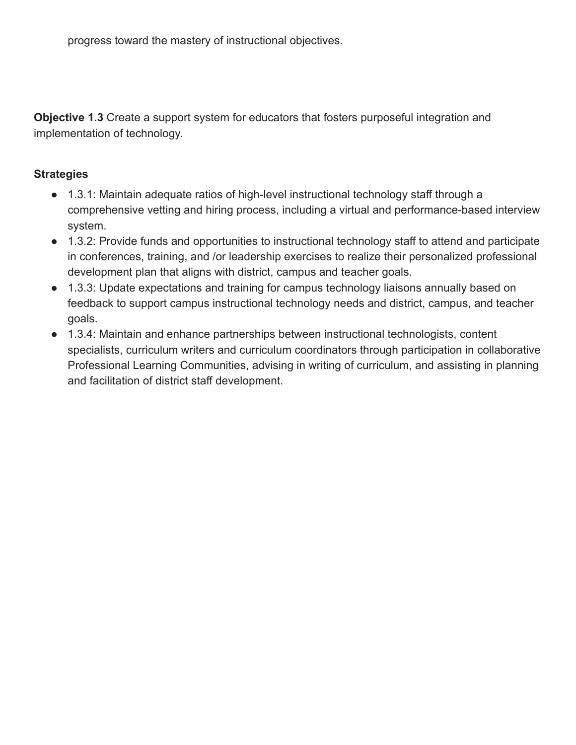progress toward the mastery of instructional objectives.

**Objective 1.3** Create a support system for educators that fosters purposeful integration and implementation of technology.

- 1.3.1: Maintain adequate ratios of high-level instructional technology staff through a comprehensive vetting and hiring process, including a virtual and performance-based interview system.
- 1.3.2: Provide funds and opportunities to instructional technology staff to attend and participate in conferences, training, and /or leadership exercises to realize their personalized professional development plan that aligns with district, campus and teacher goals.
- 1.3.3: Update expectations and training for campus technology liaisons annually based on feedback to support campus instructional technology needs and district, campus, and teacher goals.
- 1.3.4: Maintain and enhance partnerships between instructional technologists, content specialists, curriculum writers and curriculum coordinators through participation in collaborative Professional Learning Communities, advising in writing of curriculum, and assisting in planning and facilitation of district staff development.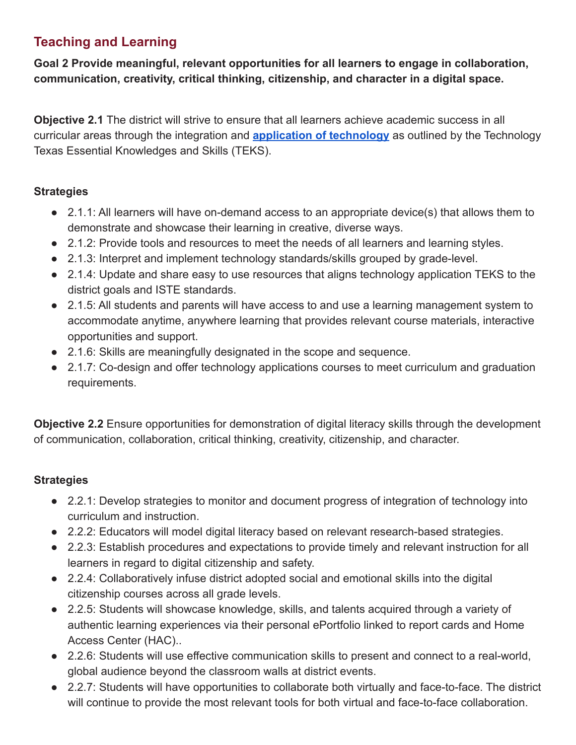# <span id="page-9-0"></span>**Teaching and Learning**

**Goal 2 Provide meaningful, relevant opportunities for all learners to engage in collaboration, communication, creativity, critical thinking, citizenship, and character in a digital space.**

**Objective 2.1** The district will strive to ensure that all learners achieve academic success in all curricular areas through the integration and **application [of technology](http://ritter.tea.state.tx.us/rules/tac/chapter126/index.html)** as outlined by the Technology Texas Essential Knowledges and Skills (TEKS).

#### **Strategies**

- 2.1.1: All learners will have on-demand access to an appropriate device(s) that allows them to demonstrate and showcase their learning in creative, diverse ways.
- 2.1.2: Provide tools and resources to meet the needs of all learners and learning styles.
- 2.1.3: Interpret and implement technology standards/skills grouped by grade-level.
- 2.1.4: Update and share easy to use resources that aligns technology application TEKS to the district goals and ISTE standards.
- 2.1.5: All students and parents will have access to and use a learning management system to accommodate anytime, anywhere learning that provides relevant course materials, interactive opportunities and support.
- 2.1.6: Skills are meaningfully designated in the scope and sequence.
- 2.1.7: Co-design and offer technology applications courses to meet curriculum and graduation requirements.

**Objective 2.2** Ensure opportunities for demonstration of digital literacy skills through the development of communication, collaboration, critical thinking, creativity, citizenship, and character.

- 2.2.1: Develop strategies to monitor and document progress of integration of technology into curriculum and instruction.
- 2.2.2: Educators will model digital literacy based on relevant research-based strategies.
- 2.2.3: Establish procedures and expectations to provide timely and relevant instruction for all learners in regard to digital citizenship and safety.
- 2.2.4: Collaboratively infuse district adopted social and emotional skills into the digital citizenship courses across all grade levels.
- 2.2.5: Students will showcase knowledge, skills, and talents acquired through a variety of authentic learning experiences via their personal ePortfolio linked to report cards and Home Access Center (HAC)..
- 2.2.6: Students will use effective communication skills to present and connect to a real-world, global audience beyond the classroom walls at district events.
- 2.2.7: Students will have opportunities to collaborate both virtually and face-to-face. The district will continue to provide the most relevant tools for both virtual and face-to-face collaboration.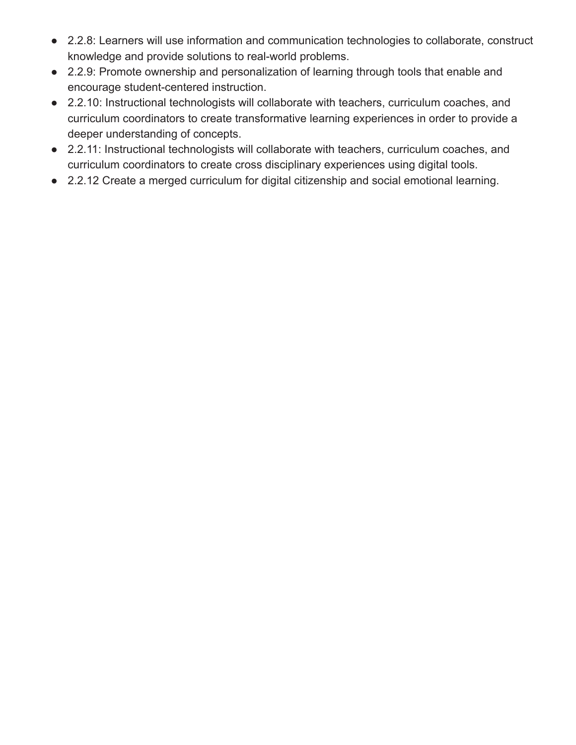- 2.2.8: Learners will use information and communication technologies to collaborate, construct knowledge and provide solutions to real-world problems.
- 2.2.9: Promote ownership and personalization of learning through tools that enable and encourage student-centered instruction.
- 2.2.10: Instructional technologists will collaborate with teachers, curriculum coaches, and curriculum coordinators to create transformative learning experiences in order to provide a deeper understanding of concepts.
- 2.2.11: Instructional technologists will collaborate with teachers, curriculum coaches, and curriculum coordinators to create cross disciplinary experiences using digital tools.
- 2.2.12 Create a merged curriculum for digital citizenship and social emotional learning.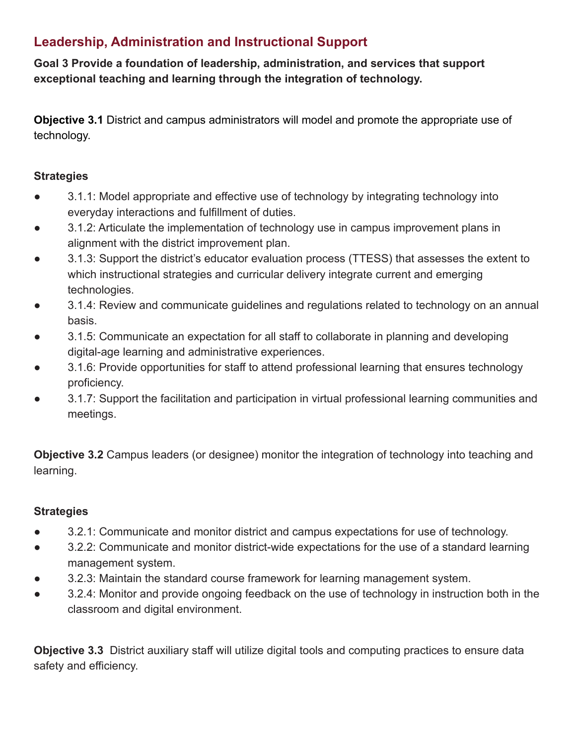# <span id="page-11-0"></span>**Leadership, Administration and Instructional Support**

**Goal 3 Provide a foundation of leadership, administration, and services that support exceptional teaching and learning through the integration of technology.**

**Objective 3.1** District and campus administrators will model and promote the appropriate use of technology.

## **Strategies**

- 3.1.1: Model appropriate and effective use of technology by integrating technology into everyday interactions and fulfillment of duties.
- 3.1.2: Articulate the implementation of technology use in campus improvement plans in alignment with the district improvement plan.
- 3.1.3: Support the district's educator evaluation process (TTESS) that assesses the extent to which instructional strategies and curricular delivery integrate current and emerging technologies.
- 3.1.4: Review and communicate guidelines and regulations related to technology on an annual basis.
- 3.1.5: Communicate an expectation for all staff to collaborate in planning and developing digital-age learning and administrative experiences.
- 3.1.6: Provide opportunities for staff to attend professional learning that ensures technology proficiency.
- 3.1.7: Support the facilitation and participation in virtual professional learning communities and meetings.

**Objective 3.2** Campus leaders (or designee) monitor the integration of technology into teaching and learning.

## **Strategies**

- 3.2.1: Communicate and monitor district and campus expectations for use of technology.
- 3.2.2: Communicate and monitor district-wide expectations for the use of a standard learning management system.
- 3.2.3: Maintain the standard course framework for learning management system.
- 3.2.4: Monitor and provide ongoing feedback on the use of technology in instruction both in the classroom and digital environment.

**Objective 3.3** District auxiliary staff will utilize digital tools and computing practices to ensure data safety and efficiency.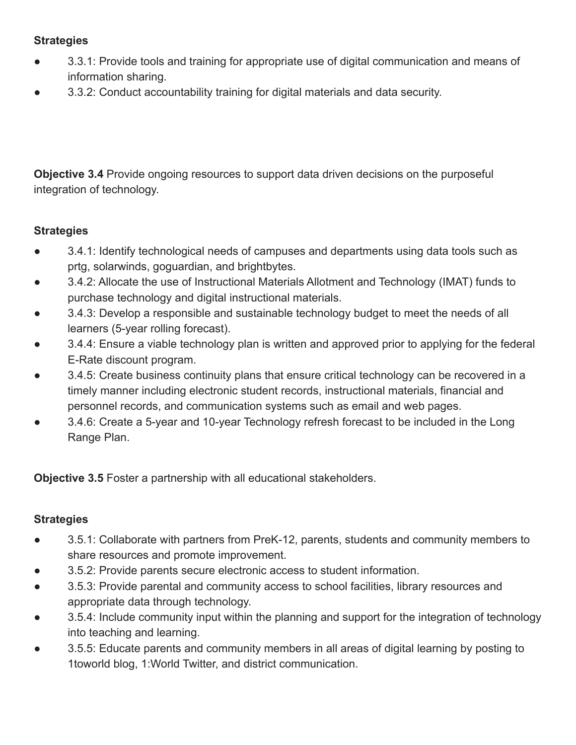#### **Strategies**

- 3.3.1: Provide tools and training for appropriate use of digital communication and means of information sharing.
- 3.3.2: Conduct accountability training for digital materials and data security.

**Objective 3.4** Provide ongoing resources to support data driven decisions on the purposeful integration of technology.

#### **Strategies**

- 3.4.1: Identify technological needs of campuses and departments using data tools such as prtg, solarwinds, goguardian, and brightbytes.
- 3.4.2: Allocate the use of Instructional Materials Allotment and Technology (IMAT) funds to purchase technology and digital instructional materials.
- 3.4.3: Develop a responsible and sustainable technology budget to meet the needs of all learners (5-year rolling forecast).
- 3.4.4: Ensure a viable technology plan is written and approved prior to applying for the federal E-Rate discount program.
- 3.4.5: Create business continuity plans that ensure critical technology can be recovered in a timely manner including electronic student records, instructional materials, financial and personnel records, and communication systems such as email and web pages.
- 3.4.6: Create a 5-year and 10-year Technology refresh forecast to be included in the Long Range Plan.

**Objective 3.5** Foster a partnership with all educational stakeholders.

- 3.5.1: Collaborate with partners from PreK-12, parents, students and community members to share resources and promote improvement.
- 3.5.2: Provide parents secure electronic access to student information.
- 3.5.3: Provide parental and community access to school facilities, library resources and appropriate data through technology.
- 3.5.4: Include community input within the planning and support for the integration of technology into teaching and learning.
- 3.5.5: Educate parents and community members in all areas of digital learning by posting to 1toworld blog, 1:World Twitter, and district communication.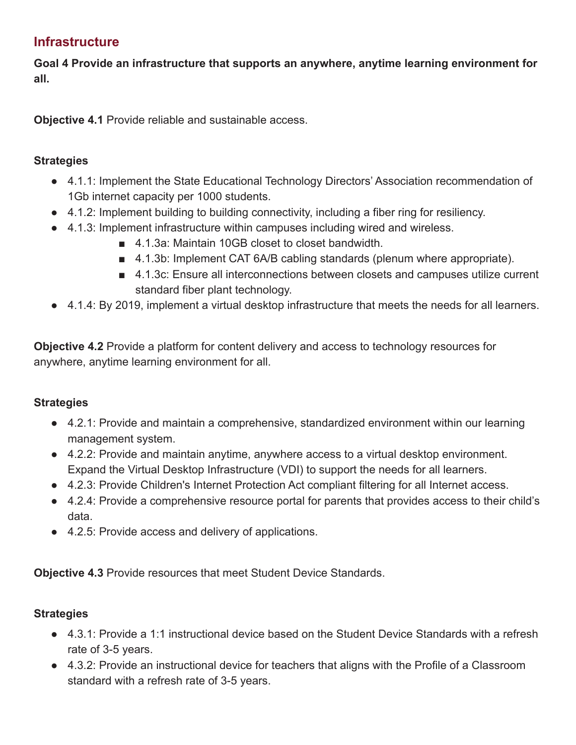# <span id="page-13-0"></span>**Infrastructure**

**Goal 4 Provide an infrastructure that supports an anywhere, anytime learning environment for all.**

**Objective 4.1** Provide reliable and sustainable access.

#### **Strategies**

- 4.1.1: Implement the State Educational Technology Directors' Association recommendation of 1Gb internet capacity per 1000 students.
- 4.1.2: Implement building to building connectivity, including a fiber ring for resiliency.
- 4.1.3: Implement infrastructure within campuses including wired and wireless.
	- 4.1.3a: Maintain 10GB closet to closet bandwidth.
	- 4.1.3b: Implement CAT 6A/B cabling standards (plenum where appropriate).
	- 4.1.3c: Ensure all interconnections between closets and campuses utilize current standard fiber plant technology.
- 4.1.4: By 2019, implement a virtual desktop infrastructure that meets the needs for all learners.

**Objective 4.2** Provide a platform for content delivery and access to technology resources for anywhere, anytime learning environment for all.

## **Strategies**

- 4.2.1: Provide and maintain a comprehensive, standardized environment within our learning management system.
- 4.2.2: Provide and maintain anytime, anywhere access to a virtual desktop environment. Expand the Virtual Desktop Infrastructure (VDI) to support the needs for all learners.
- 4.2.3: Provide Children's Internet Protection Act compliant filtering for all Internet access.
- 4.2.4: Provide a comprehensive resource portal for parents that provides access to their child's data.
- 4.2.5: Provide access and delivery of applications.

**Objective 4.3** Provide resources that meet Student Device Standards.

- 4.3.1: Provide a 1:1 instructional device based on the Student Device Standards with a refresh rate of 3-5 years.
- 4.3.2: Provide an instructional device for teachers that aligns with the Profile of a Classroom standard with a refresh rate of 3-5 years.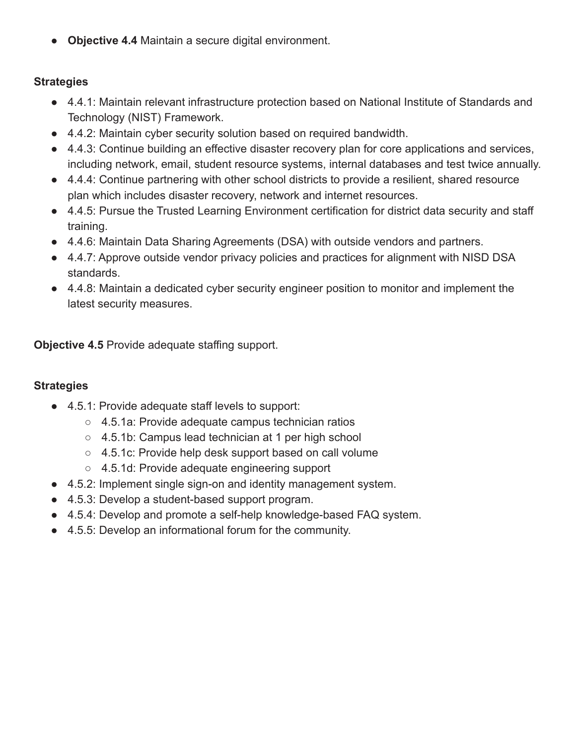● **Objective 4.4** Maintain a secure digital environment.

#### **Strategies**

- 4.4.1: Maintain relevant infrastructure protection based on National Institute of Standards and Technology (NIST) Framework.
- 4.4.2: Maintain cyber security solution based on required bandwidth.
- 4.4.3: Continue building an effective disaster recovery plan for core applications and services, including network, email, student resource systems, internal databases and test twice annually.
- 4.4.4: Continue partnering with other school districts to provide a resilient, shared resource plan which includes disaster recovery, network and internet resources.
- 4.4.5: Pursue the Trusted Learning Environment certification for district data security and staff training.
- 4.4.6: Maintain Data Sharing Agreements (DSA) with outside vendors and partners.
- 4.4.7: Approve outside vendor privacy policies and practices for alignment with NISD DSA standards.
- 4.4.8: Maintain a dedicated cyber security engineer position to monitor and implement the latest security measures.

**Objective 4.5** Provide adequate staffing support.

- 4.5.1: Provide adequate staff levels to support:
	- 4.5.1a: Provide adequate campus technician ratios
	- 4.5.1b: Campus lead technician at 1 per high school
	- 4.5.1c: Provide help desk support based on call volume
	- 4.5.1d: Provide adequate engineering support
- 4.5.2: Implement single sign-on and identity management system.
- 4.5.3: Develop a student-based support program.
- 4.5.4: Develop and promote a self-help knowledge-based FAQ system.
- 4.5.5: Develop an informational forum for the community.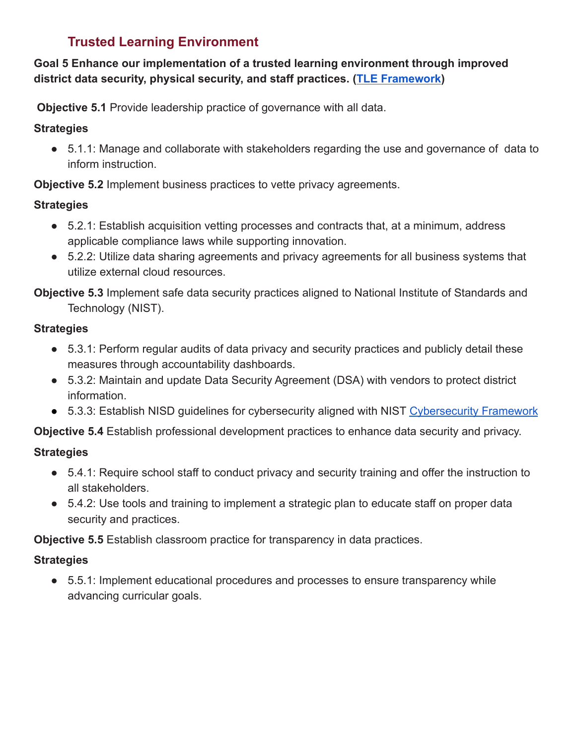# **Trusted Learning Environment**

## <span id="page-15-0"></span>**Goal 5 Enhance our implementation of a trusted learning environment through improved district data security, physical security, and staff practices. ([TLE Framework](http://trustedlearning.org/framework/))**

**Objective 5.1** Provide leadership practice of governance with all data.

#### **Strategies**

● 5.1.1: Manage and collaborate with stakeholders regarding the use and governance of data to inform instruction.

**Objective 5.2** Implement business practices to vette privacy agreements.

### **Strategies**

- 5.2.1: Establish acquisition vetting processes and contracts that, at a minimum, address applicable compliance laws while supporting innovation.
- 5.2.2: Utilize data sharing agreements and privacy agreements for all business systems that utilize external cloud resources.

## **Objective 5.3** Implement safe data security practices aligned to National Institute of Standards and Technology (NIST).

### **Strategies**

- 5.3.1: Perform regular audits of data privacy and security practices and publicly detail these measures through accountability dashboards.
- 5.3.2: Maintain and update Data Security Agreement (DSA) with vendors to protect district information.
- 5.3.3: Establish NISD guidelines for cybersecurity aligned with NIST [Cybersecurity Framework](https://www.nist.gov/cyberframework)

**Objective 5.4** Establish professional development practices to enhance data security and privacy.

## **Strategies**

- 5.4.1: Require school staff to conduct privacy and security training and offer the instruction to all stakeholders.
- 5.4.2: Use tools and training to implement a strategic plan to educate staff on proper data security and practices.

**Objective 5.5** Establish classroom practice for transparency in data practices.

## **Strategies**

● 5.5.1: Implement educational procedures and processes to ensure transparency while advancing curricular goals.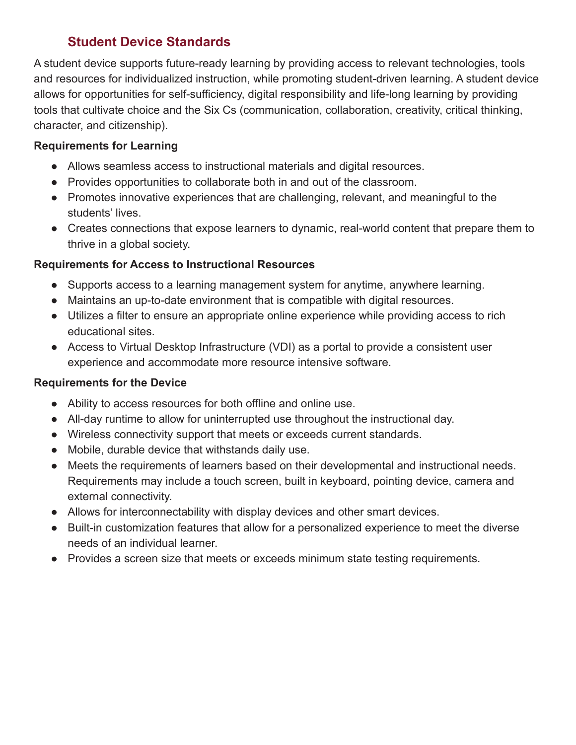# **Student Device Standards**

<span id="page-16-0"></span>A student device supports future-ready learning by providing access to relevant technologies, tools and resources for individualized instruction, while promoting student-driven learning. A student device allows for opportunities for self-sufficiency, digital responsibility and life-long learning by providing tools that cultivate choice and the Six Cs (communication, collaboration, creativity, critical thinking, character, and citizenship).

#### **Requirements for Learning**

- Allows seamless access to instructional materials and digital resources.
- Provides opportunities to collaborate both in and out of the classroom.
- Promotes innovative experiences that are challenging, relevant, and meaningful to the students' lives.
- Creates connections that expose learners to dynamic, real-world content that prepare them to thrive in a global society.

#### **Requirements for Access to Instructional Resources**

- Supports access to a learning management system for anytime, anywhere learning.
- Maintains an up-to-date environment that is compatible with digital resources.
- Utilizes a filter to ensure an appropriate online experience while providing access to rich educational sites.
- Access to Virtual Desktop Infrastructure (VDI) as a portal to provide a consistent user experience and accommodate more resource intensive software.

#### **Requirements for the Device**

- Ability to access resources for both offline and online use.
- All-day runtime to allow for uninterrupted use throughout the instructional day.
- Wireless connectivity support that meets or exceeds current standards.
- Mobile, durable device that withstands daily use.
- Meets the requirements of learners based on their developmental and instructional needs. Requirements may include a touch screen, built in keyboard, pointing device, camera and external connectivity.
- Allows for interconnectability with display devices and other smart devices.
- Built-in customization features that allow for a personalized experience to meet the diverse needs of an individual learner.
- Provides a screen size that meets or exceeds minimum state testing requirements.